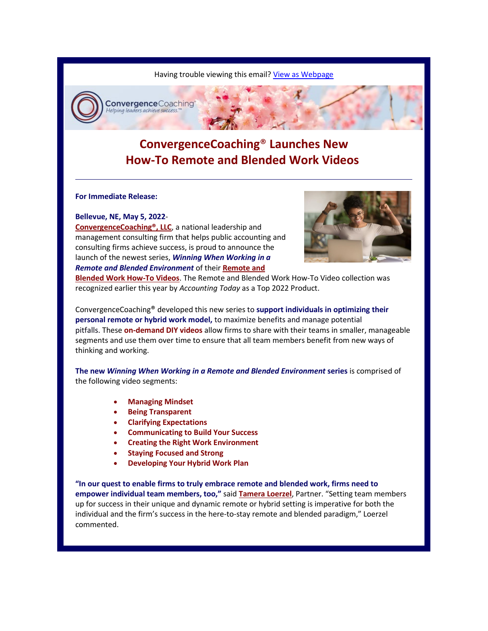Having trouble viewing this email? [View as Webpage](https://campaignlp.constantcontact.com/em/1110759834361/0ba9ce02-2e07-431b-ac0f-fd37cd650aff)



**ConvergenceCoaching**® **Launches New How-To Remote and Blended Work Videos**

**For Immediate Release:**

**Bellevue, NE, May 5, 2022**-

**[ConvergenceCoaching®, LLC](https://convergencecoaching.com/)**, a national leadership and management consulting firm that helps public accounting and consulting firms achieve success, is proud to announce the launch of the newest series, *Winning When Working in a Remote and Blended Environment* of their **[Remote and](https://convergencecoaching.com/leadership-learning/#_cc-remote)** 



**[Blended Work How-To Videos](https://convergencecoaching.com/leadership-learning/#_cc-remote)**. The Remote and Blended Work How-To Video collection was recognized earlier this year by *Accounting Today* as a Top 2022 Product.

ConvergenceCoaching® developed this new series to **support individuals in optimizing their personal remote or hybrid work model,** to maximize benefits and manage potential pitfalls. These **on-demand DIY videos** allow firms to share with their teams in smaller, manageable segments and use them over time to ensure that all team members benefit from new ways of thinking and working.

**The new** *Winning When Working in a Remote and Blended Environment* **series** is comprised of the following video segments:

- **Managing Mindset**
- **Being Transparent**
- **Clarifying Expectations**
- **Communicating to Build Your Success**
- **Creating the Right Work Environment**
- **Staying Focused and Strong**
- **Developing Your Hybrid Work Plan**

**"In our quest to enable firms to truly embrace remote and blended work, firms need to empower individual team members, too,"** said **[Tamera Loerzel](https://convergencecoaching.com/consultants/tamera-loerzel/)**, Partner. "Setting team members up for success in their unique and dynamic remote or hybrid setting is imperative for both the individual and the firm's success in the here-to-stay remote and blended paradigm," Loerzel commented.